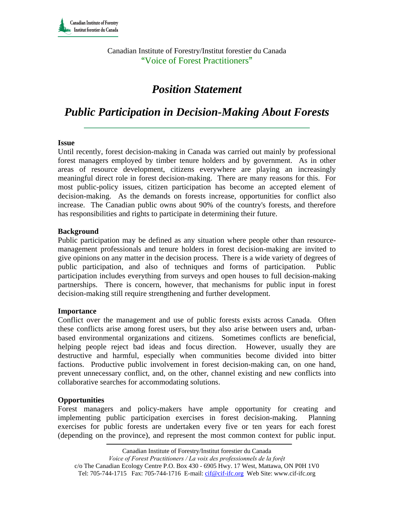Canadian Institute of Forestry/Institut forestier du Canada "Voice of Forest Practitioners"

# *Position Statement*

## *Public Participation in Decision-Making About Forests*

#### **Issue**

Until recently, forest decision-making in Canada was carried out mainly by professional forest managers employed by timber tenure holders and by government. As in other areas of resource development, citizens everywhere are playing an increasingly meaningful direct role in forest decision-making. There are many reasons for this. For most public-policy issues, citizen participation has become an accepted element of decision-making. As the demands on forests increase, opportunities for conflict also increase. The Canadian public owns about 90% of the country's forests, and therefore has responsibilities and rights to participate in determining their future.

#### **Background**

Public participation may be defined as any situation where people other than resourcemanagement professionals and tenure holders in forest decision-making are invited to give opinions on any matter in the decision process. There is a wide variety of degrees of public participation, and also of techniques and forms of participation. Public participation includes everything from surveys and open houses to full decision-making partnerships. There is concern, however, that mechanisms for public input in forest decision-making still require strengthening and further development.

#### **Importance**

Conflict over the management and use of public forests exists across Canada. Often these conflicts arise among forest users, but they also arise between users and, urbanbased environmental organizations and citizens. Sometimes conflicts are beneficial, helping people reject bad ideas and focus direction. However, usually they are destructive and harmful, especially when communities become divided into bitter factions. Productive public involvement in forest decision-making can, on one hand, prevent unnecessary conflict, and, on the other, channel existing and new conflicts into collaborative searches for accommodating solutions.

## **Opportunities**

Forest managers and policy-makers have ample opportunity for creating and implementing public participation exercises in forest decision-making. Planning exercises for public forests are undertaken every five or ten years for each forest (depending on the province), and represent the most common context for public input.

*Voice of Forest Practitioners / La voix des professionnels de la forệt* 

c/o The Canadian Ecology Centre P.O. Box 430 - 6905 Hwy. 17 West, Mattawa, ON P0H 1V0 Tel: 705-744-1715 Fax: 705-744-1716 E-mail: cif@cif-ifc.org Web Site: www.cif-ifc.org

Canadian Institute of Forestry/Institut forestier du Canada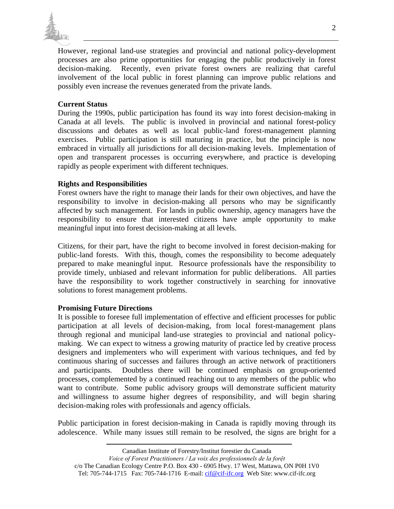

However, regional land-use strategies and provincial and national policy-development processes are also prime opportunities for engaging the public productively in forest decision-making. Recently, even private forest owners are realizing that careful involvement of the local public in forest planning can improve public relations and possibly even increase the revenues generated from the private lands.

## **Current Status**

During the 1990s, public participation has found its way into forest decision-making in Canada at all levels. The public is involved in provincial and national forest-policy discussions and debates as well as local public-land forest-management planning exercises. Public participation is still maturing in practice, but the principle is now embraced in virtually all jurisdictions for all decision-making levels. Implementation of open and transparent processes is occurring everywhere, and practice is developing rapidly as people experiment with different techniques.

#### **Rights and Responsibilities**

Forest owners have the right to manage their lands for their own objectives, and have the responsibility to involve in decision-making all persons who may be significantly affected by such management. For lands in public ownership, agency managers have the responsibility to ensure that interested citizens have ample opportunity to make meaningful input into forest decision-making at all levels.

Citizens, for their part, have the right to become involved in forest decision-making for public-land forests. With this, though, comes the responsibility to become adequately prepared to make meaningful input. Resource professionals have the responsibility to provide timely, unbiased and relevant information for public deliberations. All parties have the responsibility to work together constructively in searching for innovative solutions to forest management problems.

#### **Promising Future Directions**

It is possible to foresee full implementation of effective and efficient processes for public participation at all levels of decision-making, from local forest-management plans through regional and municipal land-use strategies to provincial and national policymaking. We can expect to witness a growing maturity of practice led by creative process designers and implementers who will experiment with various techniques, and fed by continuous sharing of successes and failures through an active network of practitioners and participants. Doubtless there will be continued emphasis on group-oriented processes, complemented by a continued reaching out to any members of the public who want to contribute. Some public advisory groups will demonstrate sufficient maturity and willingness to assume higher degrees of responsibility, and will begin sharing decision-making roles with professionals and agency officials.

Public participation in forest decision-making in Canada is rapidly moving through its adolescence. While many issues still remain to be resolved, the signs are bright for a

Canadian Institute of Forestry/Institut forestier du Canada

*Voice of Forest Practitioners / La voix des professionnels de la forệt* 

c/o The Canadian Ecology Centre P.O. Box 430 - 6905 Hwy. 17 West, Mattawa, ON P0H 1V0 Tel: 705-744-1715 Fax: 705-744-1716 E-mail: cif@cif-ifc.org Web Site: www.cif-ifc.org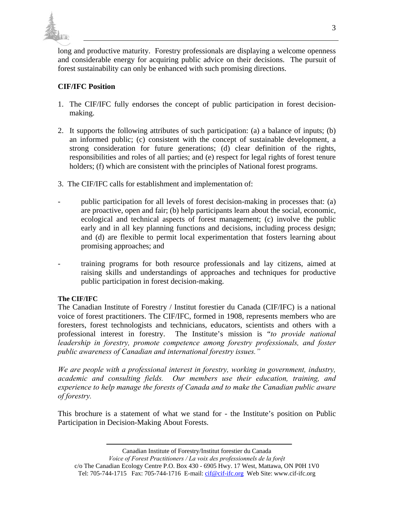

long and productive maturity. Forestry professionals are displaying a welcome openness and considerable energy for acquiring public advice on their decisions. The pursuit of forest sustainability can only be enhanced with such promising directions.

## **CIF/IFC Position**

- 1. The CIF/IFC fully endorses the concept of public participation in forest decisionmaking.
- 2. It supports the following attributes of such participation: (a) a balance of inputs; (b) an informed public; (c) consistent with the concept of sustainable development, a strong consideration for future generations; (d) clear definition of the rights, responsibilities and roles of all parties; and (e) respect for legal rights of forest tenure holders; (f) which are consistent with the principles of National forest programs.
- 3. The CIF/IFC calls for establishment and implementation of:
- public participation for all levels of forest decision-making in processes that: (a) are proactive, open and fair; (b) help participants learn about the social, economic, ecological and technical aspects of forest management; (c) involve the public early and in all key planning functions and decisions, including process design; and (d) are flexible to permit local experimentation that fosters learning about promising approaches; and
- training programs for both resource professionals and lay citizens, aimed at raising skills and understandings of approaches and techniques for productive public participation in forest decision-making.

## **The CIF/IFC**

The Canadian Institute of Forestry / Institut forestier du Canada (CIF/IFC) is a national voice of forest practitioners. The CIF/IFC, formed in 1908, represents members who are foresters, forest technologists and technicians, educators, scientists and others with a professional interest in forestry. The Institute's mission is "*to provide national leadership in forestry, promote competence among forestry professionals, and foster public awareness of Canadian and international forestry issues."* 

*We are people with a professional interest in forestry, working in government, industry, academic and consulting fields. Our members use their education, training, and experience to help manage the forests of Canada and to make the Canadian public aware of forestry.* 

This brochure is a statement of what we stand for - the Institute's position on Public Participation in Decision-Making About Forests.

Canadian Institute of Forestry/Institut forestier du Canada

*Voice of Forest Practitioners / La voix des professionnels de la forệt*  c/o The Canadian Ecology Centre P.O. Box 430 - 6905 Hwy. 17 West, Mattawa, ON P0H 1V0 Tel: 705-744-1715 Fax: 705-744-1716 E-mail: cif@cif-ifc.org Web Site: www.cif-ifc.org